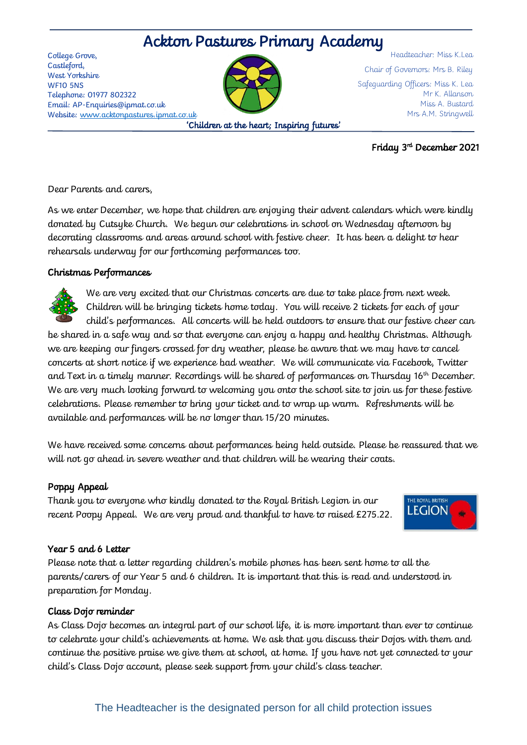# Ackton Pastures Primary Academy

College Grove, Castleford, West Yorkshire WF10 5NS Telephone: 01977 802322 Email: AP-Enquiries@ipmat.co.uk Website: [www.acktonpastures.ipmat.co.uk](http://www.acktonpastures.ipmat.co.uk/)



'Children at the heart; Inspiring futures'

Headteacher: Miss K.Lea Chair of Governors: Mrs B. Riley Safeguarding Officers: Miss K. Lea Mr K. Allanson Miss A. Bustard Mrs A.M. Stringwell

### Friday 3rd December 2021

Dear Parents and carers,

As we enter December, we hope that children are enjoying their advent calendars which were kindly donated by Cutsyke Church. We begun our celebrations in school on Wednesday afternoon by decorating classrooms and areas around school with festive cheer. It has been a delight to hear rehearsals underway for our forthcoming performances too.

# Christmas Performances

We are very excited that our Christmas concerts are due to take place from next week. Children will be bringing tickets home today. You will receive 2 tickets for each of your child's performances. All concerts will be held outdoors to ensure that our festive cheer can be shared in a safe way and so that everyone can enjoy a happy and healthy Christmas. Although

we are keeping our fingers crossed for dry weather, please be aware that we may have to cancel concerts at short notice if we experience bad weather. We will communicate via Facebook, Twitter and Text in a timely manner. Recordings will be shared of performances on Thursday  $16<sup>th</sup>$  December. We are very much looking forward to welcoming you onto the school site to join us for these festive celebrations. Please remember to bring your ticket and to wrap up warm. Refreshments will be available and performances will be no longer than 15/20 minutes.

We have received some concerns about performances being held outside. Please be reassured that we will not go ahead in severe weather and that children will be wearing their coats.

# Poppy Appeal

Thank you to everyone who kindly donated to the Royal British Legion in our recent Poopy Appeal. We are very proud and thankful to have to raised £275.22.



# Year 5 and 6 Letter

Please note that a letter regarding children's mobile phones has been sent home to all the parents/carers of our Year 5 and 6 children. It is important that this is read and understood in preparation for Monday.

#### Class Dojo reminder

As Class Dojo becomes an integral part of our school life, it is more important than ever to continue to celebrate your child's achievements at home. We ask that you discuss their Dojos with them and continue the positive praise we give them at school, at home. If you have not yet connected to your child's Class Dojo account, please seek support from your child's class teacher.